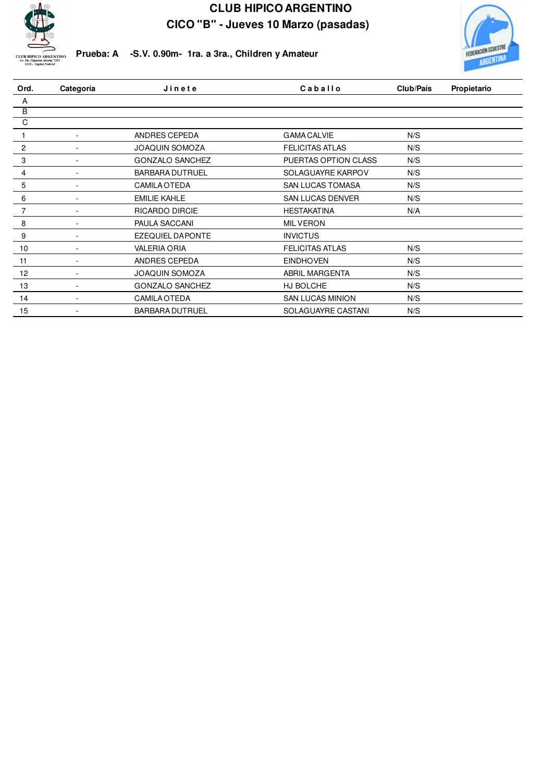



**Prueba: A -S.V. 0.90m- 1ra. a 3ra., Children y Amateur**

| Ord.           | Categoría                | Jinete                  | Caballo                 | Club/País | Propietario |  |
|----------------|--------------------------|-------------------------|-------------------------|-----------|-------------|--|
| A              |                          |                         |                         |           |             |  |
| $\overline{B}$ |                          |                         |                         |           |             |  |
| C              |                          |                         |                         |           |             |  |
|                | ٠                        | ANDRES CEPEDA           | <b>GAMA CALVIE</b>      | N/S       |             |  |
| $\overline{2}$ | ٠                        | <b>JOAQUIN SOMOZA</b>   | <b>FELICITAS ATLAS</b>  | N/S       |             |  |
| 3              | ٠                        | <b>GONZALO SANCHEZ</b>  | PUERTAS OPTION CLASS    | N/S       |             |  |
| 4              | $\overline{\phantom{a}}$ | <b>BARBARA DUTRUEL</b>  | SOLAGUAYRE KARPOV       | N/S       |             |  |
| 5              | $\overline{\phantom{a}}$ | <b>CAMILA OTEDA</b>     | <b>SAN LUCAS TOMASA</b> | N/S       |             |  |
| 6              | $\overline{\phantom{a}}$ | <b>EMILIE KAHLE</b>     | <b>SAN LUCAS DENVER</b> | N/S       |             |  |
| $\overline{7}$ | ٠                        | <b>RICARDO DIRCIE</b>   | <b>HESTAKATINA</b>      | N/A       |             |  |
| 8              | ٠                        | PAULA SACCANI           | <b>MIL VERON</b>        |           |             |  |
| 9              | $\overline{\phantom{a}}$ | <b>EZEQUIEL DAPONTE</b> | <b>INVICTUS</b>         |           |             |  |
| 10             | $\overline{\phantom{a}}$ | <b>VALERIA ORIA</b>     | <b>FELICITAS ATLAS</b>  | N/S       |             |  |
| 11             | $\overline{\phantom{a}}$ | ANDRES CEPEDA           | <b>EINDHOVEN</b>        | N/S       |             |  |
| 12             |                          | <b>JOAQUIN SOMOZA</b>   | ABRIL MARGENTA          | N/S       |             |  |
| 13             |                          | <b>GONZALO SANCHEZ</b>  | HJ BOLCHE               | N/S       |             |  |
| 14             |                          | <b>CAMILA OTEDA</b>     | <b>SAN LUCAS MINION</b> | N/S       |             |  |
| 15             |                          | <b>BARBARA DUTRUEL</b>  | SOLAGUAYRE CASTANI      | N/S       |             |  |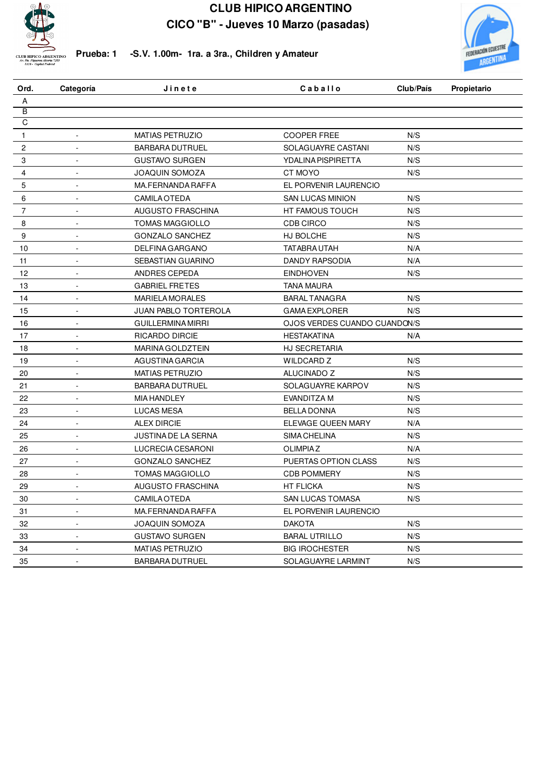



**Prueba: 1 -S.V. 1.00m- 1ra. a 3ra., Children y Amateur**

| Ord.           | Categoría                | Jinete                      | Caballo                      | Club/País | Propietario |
|----------------|--------------------------|-----------------------------|------------------------------|-----------|-------------|
| Α              |                          |                             |                              |           |             |
| $\overline{B}$ |                          |                             |                              |           |             |
| C              |                          |                             |                              |           |             |
| $\mathbf{1}$   | $\Box$                   | <b>MATIAS PETRUZIO</b>      | <b>COOPER FREE</b>           | N/S       |             |
| 2              | $\Box$                   | <b>BARBARA DUTRUEL</b>      | SOLAGUAYRE CASTANI           | N/S       |             |
| 3              | $\blacksquare$           | <b>GUSTAVO SURGEN</b>       | YDALINA PISPIRETTA           | N/S       |             |
| 4              | ÷,                       | <b>JOAQUIN SOMOZA</b>       | CT MOYO                      | N/S       |             |
| 5              | ä,                       | MA.FERNANDA RAFFA           | EL PORVENIR LAURENCIO        |           |             |
| 6              | L.                       | <b>CAMILA OTEDA</b>         | SAN LUCAS MINION             | N/S       |             |
| $\overline{7}$ | ÷,                       | <b>AUGUSTO FRASCHINA</b>    | HT FAMOUS TOUCH              | N/S       |             |
| 8              | ä,                       | <b>TOMAS MAGGIOLLO</b>      | <b>CDB CIRCO</b>             | N/S       |             |
| 9              | $\blacksquare$           | <b>GONZALO SANCHEZ</b>      | HJ BOLCHE                    | N/S       |             |
| 10             | ä,                       | <b>DELFINA GARGANO</b>      | <b>TATABRA UTAH</b>          | N/A       |             |
| 11             |                          | SEBASTIAN GUARINO           | DANDY RAPSODIA               | N/A       |             |
| 12             | L.                       | ANDRES CEPEDA               | <b>EINDHOVEN</b>             | N/S       |             |
| 13             | L.                       | <b>GABRIEL FRETES</b>       | <b>TANA MAURA</b>            |           |             |
| 14             | $\Box$                   | <b>MARIELA MORALES</b>      | <b>BARAL TANAGRA</b>         | N/S       |             |
| 15             | $\Box$                   | <b>JUAN PABLO TORTEROLA</b> | <b>GAMA EXPLORER</b>         | N/S       |             |
| 16             | $\blacksquare$           | <b>GUILLERMINA MIRRI</b>    | OJOS VERDES CUANDO CUANDON/S |           |             |
| 17             | $\sim$                   | <b>RICARDO DIRCIE</b>       | <b>HESTAKATINA</b>           | N/A       |             |
| 18             | $\blacksquare$           | MARINA GOLDZTEIN            | HJ SECRETARIA                |           |             |
| 19             | $\overline{\phantom{a}}$ | AGUSTINA GARCIA             | <b>WILDCARD Z</b>            | N/S       |             |
| 20             | ÷,                       | MATIAS PETRUZIO             | ALUCINADO Z                  | N/S       |             |
| 21             | ä,                       | <b>BARBARA DUTRUEL</b>      | SOLAGUAYRE KARPOV            | N/S       |             |
| 22             | ä,                       | <b>MIA HANDLEY</b>          | EVANDITZA M                  | N/S       |             |
| 23             | ä,                       | <b>LUCAS MESA</b>           | <b>BELLA DONNA</b>           | N/S       |             |
| 24             | $\overline{a}$           | <b>ALEX DIRCIE</b>          | ELEVAGE QUEEN MARY           | N/A       |             |
| 25             | ä,                       | JUSTINA DE LA SERNA         | SIMA CHELINA                 | N/S       |             |
| 26             | ÷,                       | LUCRECIA CESARONI           | <b>OLIMPIAZ</b>              | N/A       |             |
| 27             |                          | <b>GONZALO SANCHEZ</b>      | PUERTAS OPTION CLASS         | N/S       |             |
| 28             | $\overline{a}$           | <b>TOMAS MAGGIOLLO</b>      | <b>CDB POMMERY</b>           | N/S       |             |
| 29             | $\overline{a}$           | <b>AUGUSTO FRASCHINA</b>    | <b>HT FLICKA</b>             | N/S       |             |
| 30             | $\bar{a}$                | <b>CAMILA OTEDA</b>         | SAN LUCAS TOMASA             | N/S       |             |
| 31             | $\blacksquare$           | MA.FERNANDA RAFFA           | EL PORVENIR LAURENCIO        |           |             |
| 32             | $\Box$                   | <b>JOAQUIN SOMOZA</b>       | <b>DAKOTA</b>                | N/S       |             |
| 33             | $\Box$                   | <b>GUSTAVO SURGEN</b>       | <b>BARAL UTRILLO</b>         | N/S       |             |
| 34             | $\blacksquare$           | <b>MATIAS PETRUZIO</b>      | <b>BIG IROCHESTER</b>        | N/S       |             |
| 35             |                          | <b>BARBARA DUTRUEL</b>      | SOLAGUAYRE LARMINT           | N/S       |             |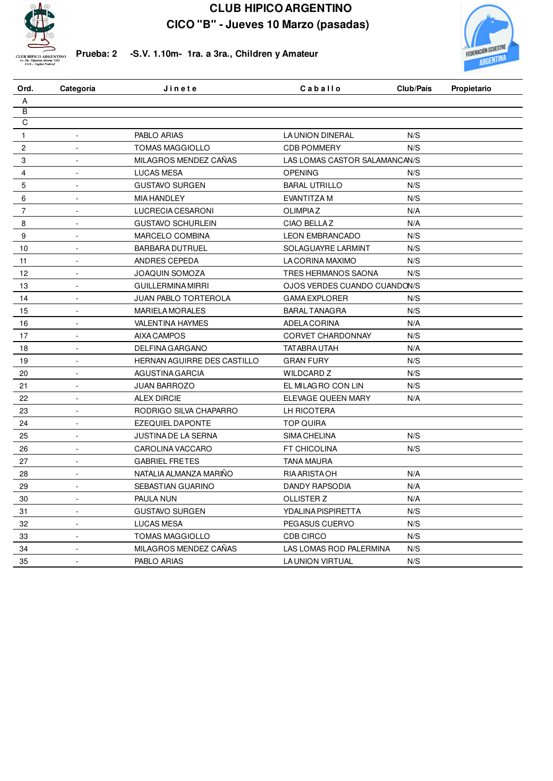



**Prueba: 2 -S.V. 1.10m- 1ra. a 3ra., Children y Amateur**

| Ord.                    | Categoría                | Jinete                      | Caballo                       | Club/País | Propietario |
|-------------------------|--------------------------|-----------------------------|-------------------------------|-----------|-------------|
| Α                       |                          |                             |                               |           |             |
| $\overline{\mathsf{B}}$ |                          |                             |                               |           |             |
| C                       |                          |                             |                               |           |             |
| 1                       | $\overline{\phantom{a}}$ | PABLO ARIAS                 | LA UNION DINERAL              | N/S       |             |
| $\overline{c}$          | ÷,                       | <b>TOMAS MAGGIOLLO</b>      | <b>CDB POMMERY</b>            | N/S       |             |
| 3                       | $\blacksquare$           | MILAGROS MENDEZ CAÑAS       | LAS LOMAS CASTOR SALAMANCAN/S |           |             |
| 4                       | $\overline{a}$           | <b>LUCAS MESA</b>           | <b>OPENING</b>                | N/S       |             |
| 5                       | $\overline{a}$           | <b>GUSTAVO SURGEN</b>       | <b>BARAL UTRILLO</b>          | N/S       |             |
| 6                       | ÷,                       | <b>MIA HANDLEY</b>          | EVANTITZA M                   | N/S       |             |
| 7                       | $\sim$                   | LUCRECIA CESARONI           | <b>OLIMPIAZ</b>               | N/A       |             |
| 8                       | $\sim$                   | <b>GUSTAVO SCHURLEIN</b>    | CIAO BELLAZ                   | N/A       |             |
| 9                       | ä,                       | MARCELO COMBINA             | <b>LEON EMBRANCADO</b>        | N/S       |             |
| $10$                    |                          | <b>BARBARA DUTRUEL</b>      | SOLAGUAYRE LARMINT            | N/S       |             |
| 11                      |                          | ANDRES CEPEDA               | LA CORINA MAXIMO              | N/S       |             |
| 12                      | L.                       | <b>JOAQUIN SOMOZA</b>       | TRES HERMANOS SAONA           | N/S       |             |
| 13                      | $\blacksquare$           | <b>GUILLERMINA MIRRI</b>    | OJOS VERDES CUANDO CUANDON/S  |           |             |
| 14                      | $\blacksquare$           | <b>JUAN PABLO TORTEROLA</b> | <b>GAMA EXPLORER</b>          | N/S       |             |
| 15                      | $\overline{\phantom{a}}$ | <b>MARIELA MORALES</b>      | <b>BARAL TANAGRA</b>          | N/S       |             |
| 16                      | $\blacksquare$           | <b>VALENTINA HAYMES</b>     | ADELA CORINA                  | N/A       |             |
| 17                      | $\blacksquare$           | <b>AIXA CAMPOS</b>          | <b>CORVET CHARDONNAY</b>      | N/S       |             |
| 18                      | $\overline{\phantom{a}}$ | <b>DELFINA GARGANO</b>      | <b>TATABRA UTAH</b>           | N/A       |             |
| 19                      | ÷,                       | HERNAN AGUIRRE DES CASTILLO | <b>GRAN FURY</b>              | N/S       |             |
| 20                      | L.                       | AGUSTINA GARCIA             | <b>WILDCARD Z</b>             | N/S       |             |
| 21                      | ÷,                       | <b>JUAN BARROZO</b>         | EL MILAGRO CON LIN            | N/S       |             |
| 22                      | ÷,                       | <b>ALEX DIRCIE</b>          | ELEVAGE QUEEN MARY            | N/A       |             |
| 23                      | $\overline{a}$           | RODRIGO SILVA CHAPARRO      | LH RICOTERA                   |           |             |
| 24                      | ä,                       | <b>EZEQUIEL DAPONTE</b>     | TOP QUIRA                     |           |             |
| 25                      | ä,                       | <b>JUSTINA DE LA SERNA</b>  | <b>SIMA CHELINA</b>           | N/S       |             |
| 26                      |                          | CAROLINA VACCARO            | <b>FT CHICOLINA</b>           | N/S       |             |
| 27                      | $\overline{a}$           | <b>GABRIEL FRETES</b>       | <b>TANA MAURA</b>             |           |             |
| 28                      | L.                       | NATALIA ALMANZA MARIÑO      | RIA ARISTA OH                 | N/A       |             |
| 29                      | L.                       | SEBASTIAN GUARINO           | <b>DANDY RAPSODIA</b>         | N/A       |             |
| 30                      | $\blacksquare$           | <b>PAULA NUN</b>            | <b>OLLISTER Z</b>             | N/A       |             |
| 31                      | $\blacksquare$           | <b>GUSTAVO SURGEN</b>       | YDALINA PISPIRETTA            | N/S       |             |
| 32                      | $\blacksquare$           | <b>LUCAS MESA</b>           | PEGASUS CUERVO                | N/S       |             |
| 33                      | $\blacksquare$           | <b>TOMAS MAGGIOLLO</b>      | <b>CDB CIRCO</b>              | N/S       |             |
| 34                      | $\overline{\phantom{a}}$ | MILAGROS MENDEZ CAÑAS       | LAS LOMAS ROD PALERMINA       | N/S       |             |
| 35                      |                          | PABLO ARIAS                 | LA UNION VIRTUAL              | N/S       |             |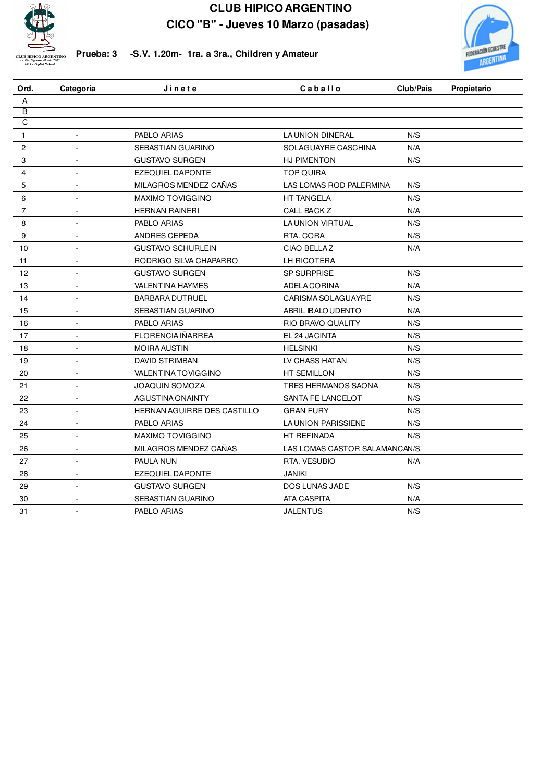



**Prueba: 3 -S.V. 1.20m- 1ra. a 3ra., Children y Amateur**

| Ord.           | Categoría                | Jinete                      | Caballo                       | Club/País | Propietario |
|----------------|--------------------------|-----------------------------|-------------------------------|-----------|-------------|
| A              |                          |                             |                               |           |             |
| $\overline{B}$ |                          |                             |                               |           |             |
| C              |                          |                             |                               |           |             |
| $\mathbf{1}$   | ä,                       | PABLO ARIAS                 | LA UNION DINERAL              | N/S       |             |
| $\overline{c}$ | $\overline{\phantom{a}}$ | SEBASTIAN GUARINO           | SOLAGUAYRE CASCHINA           | N/A       |             |
| 3              | ÷,                       | <b>GUSTAVO SURGEN</b>       | HJ PIMENTON                   | N/S       |             |
| 4              | ÷,                       | <b>EZEQUIEL DAPONTE</b>     | <b>TOP QUIRA</b>              |           |             |
| 5              |                          | MILAGROS MENDEZ CAÑAS       | LAS LOMAS ROD PALERMINA       | N/S       |             |
| 6              | $\overline{\phantom{a}}$ | MAXIMO TOVIGGINO            | HT TANGELA                    | N/S       |             |
| $\overline{7}$ | ÷,                       | <b>HERNAN RAINERI</b>       | CALL BACK Z                   | N/A       |             |
| 8              | $\overline{\phantom{a}}$ | PABLO ARIAS                 | LA UNION VIRTUAL              | N/S       |             |
| 9              | $\blacksquare$           | ANDRES CEPEDA               | RTA. CORA                     | N/S       |             |
| 10             | ä,                       | <b>GUSTAVO SCHURLEIN</b>    | CIAO BELLAZ                   | N/A       |             |
| 11             |                          | RODRIGO SILVA CHAPARRO      | LH RICOTERA                   |           |             |
| 12             | $\blacksquare$           | <b>GUSTAVO SURGEN</b>       | SP SURPRISE                   | N/S       |             |
| 13             | ÷,                       | <b>VALENTINA HAYMES</b>     | ADELA CORINA                  | N/A       |             |
| 14             | $\blacksquare$           | <b>BARBARA DUTRUEL</b>      | CARISMA SOLAGUAYRE            | N/S       |             |
| 15             | $\blacksquare$           | SEBASTIAN GUARINO           | ABRIL IBALO UDENTO            | N/A       |             |
| 16             | $\blacksquare$           | PABLO ARIAS                 | RIO BRAVO QUALITY             | N/S       |             |
| 17             |                          | <b>FLORENCIA IÑARREA</b>    | EL 24 JACINTA                 | N/S       |             |
| 18             | ÷,                       | <b>MOIRA AUSTIN</b>         | <b>HELSINKI</b>               | N/S       |             |
| 19             | $\overline{\phantom{a}}$ | <b>DAVID STRIMBAN</b>       | LV CHASS HATAN                | N/S       |             |
| 20             | L.                       | VALENTINA TOVIGGINO         | HT SEMILLON                   | N/S       |             |
| 21             | $\overline{\phantom{a}}$ | <b>JOAQUIN SOMOZA</b>       | TRES HERMANOS SAONA           | N/S       |             |
| 22             | $\blacksquare$           | AGUSTINA ONAINTY            | SANTA FE LANCELOT             | N/S       |             |
| 23             |                          | HERNAN AGUIRRE DES CASTILLO | <b>GRAN FURY</b>              | N/S       |             |
| 24             | $\overline{\phantom{a}}$ | PABLO ARIAS                 | <b>LA UNION PARISSIENE</b>    | N/S       |             |
| 25             | $\blacksquare$           | MAXIMO TOVIGGINO            | HT REFINADA                   | N/S       |             |
| 26             | ä,                       | MILAGROS MENDEZ CAÑAS       | LAS LOMAS CASTOR SALAMANCAN/S |           |             |
| 27             | $\overline{\phantom{a}}$ | PAULA NUN                   | RTA. VESUBIO                  | N/A       |             |
| 28             | $\overline{\phantom{a}}$ | <b>EZEQUIEL DAPONTE</b>     | <b>JANIKI</b>                 |           |             |
| 29             | $\overline{a}$           | <b>GUSTAVO SURGEN</b>       | <b>DOS LUNAS JADE</b>         | N/S       |             |
| $30\,$         | ÷,                       | SEBASTIAN GUARINO           | ATA CASPITA                   | N/A       |             |
| 31             | $\overline{a}$           | <b>PABLO ARIAS</b>          | <b>JALENTUS</b>               | N/S       |             |